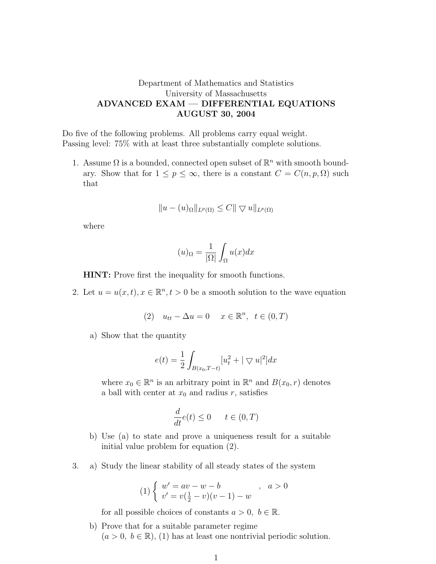## Department of Mathematics and Statistics University of Massachusetts ADVANCED EXAM — DIFFERENTIAL EQUATIONS AUGUST 30, 2004

Do five of the following problems. All problems carry equal weight. Passing level: 75% with at least three substantially complete solutions.

1. Assume  $\Omega$  is a bounded, connected open subset of  $\mathbb{R}^n$  with smooth boundary. Show that for  $1 \leq p \leq \infty$ , there is a constant  $C = C(n, p, \Omega)$  such that

$$
||u - (u)_{\Omega}||_{L^p(\Omega)} \leq C||\nabla u||_{L^p(\Omega)}
$$

where

$$
(u)_{\Omega} = \frac{1}{|\Omega|} \int_{\Omega} u(x) dx
$$

HINT: Prove first the inequality for smooth functions.

2. Let  $u = u(x, t), x \in \mathbb{R}^n, t > 0$  be a smooth solution to the wave equation

$$
(2) \quad u_{tt} - \Delta u = 0 \quad x \in \mathbb{R}^n, \ t \in (0, T)
$$

a) Show that the quantity

$$
e(t) = \frac{1}{2} \int_{B(x_0, T - t)} [u_t^2 + |\nabla u|^2] dx
$$

where  $x_0 \in \mathbb{R}^n$  is an arbitrary point in  $\mathbb{R}^n$  and  $B(x_0, r)$  denotes a ball with center at  $x_0$  and radius r, satisfies

$$
\frac{d}{dt}e(t) \le 0 \qquad t \in (0, T)
$$

- b) Use (a) to state and prove a uniqueness result for a suitable initial value problem for equation (2).
- 3. a) Study the linear stability of all steady states of the system

$$
(1) \begin{cases} w' = av - w - b \\ v' = v(\frac{1}{2} - v)(v - 1) - w \end{cases}, \quad a > 0
$$

for all possible choices of constants  $a > 0, b \in \mathbb{R}$ .

b) Prove that for a suitable parameter regime  $(a > 0, b \in \mathbb{R})$ , (1) has at least one nontrivial periodic solution.